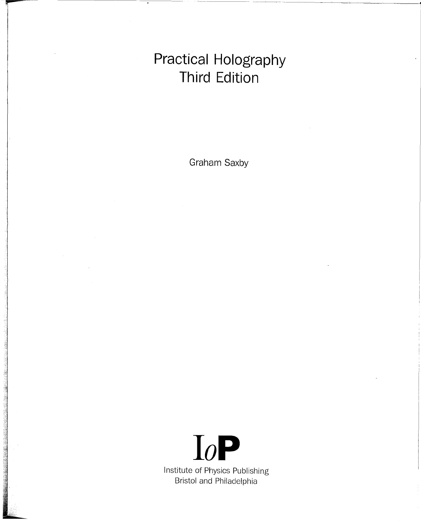# **Practical Holography Third Edition**

Graham Saxby

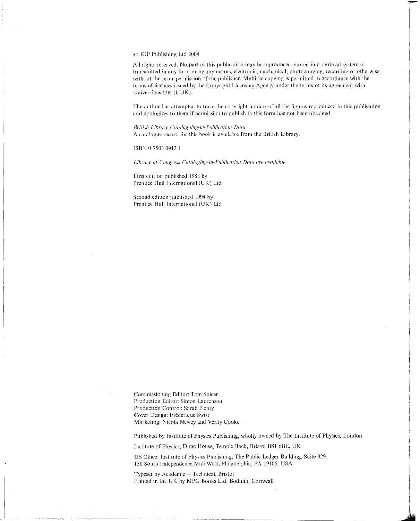#### C(') lOP Publishing Lld 2004

All rights reserved. No part of this publication may be reproduced, stored in a retrieval system or transmitted in any form or by any means. electronic, mechanical, photocopying, recording or otherwise, without the prior permission of the publisher. Multiple copying is permitted in accordance with the terms of licences issued by the Copyright Licensing Agency under the terms of its agreement with Universities UK (UUK).

The author has attempted to trace the copyright holders of all the figures reproduced in this publication and apologizes to them if permission to publish in this form has not been obtained.

*British Library Cataloguing-in-Publication lrata* A catalogue record for this book is available from the British Library.

ISBN 0 7503 0912 I

*Library of' Congress Catuloging-in-Publication Dcun are avuilable*

First edition published 1988 by Prentice Hall International (UK) Ltd

Second edition published 1994 by Prentice Hall International (UK) Lld

Commissioning Editor: Tom Spicer Production Editor: Simon Laurenson Production Control: Sarah Plenty Cover Design: Frederique Swist Marketing: Nicola Newey and Verity Cooke

Published by Institute of Physics Publishing, wholly owned by The Institute of Physics, London

I i

Institute of Physics, Dirac House, Temple Back, Bristol BS1 6BE, UK

US Office: Institute of Physics Publishing, The Public Ledger Building, Suite 929, 150 South Independence Mall West, Philadelphia, PA 19106, USA

Typeset by Academic + Technical, Bristol Printed in the UK by MPG Books Ltd, Bodmin, Cornwall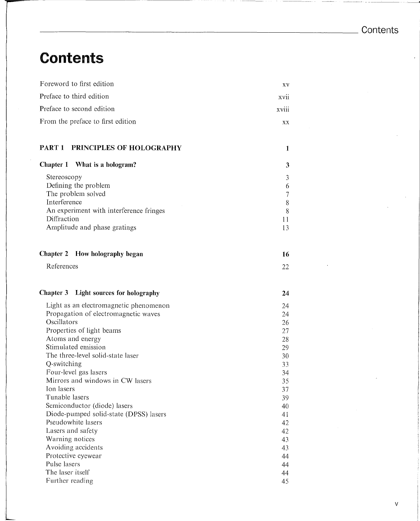# **Contents**

| Foreword to first edition                        | XV       |
|--------------------------------------------------|----------|
| Preface to third edition                         | xvii     |
| Preface to second edition                        | xviii    |
| From the preface to first edition                | XX       |
| PART 1 PRINCIPLES OF HOLOGRAPHY                  | 1        |
| Chapter 1 What is a hologram?                    | 3        |
| Stereoscopy                                      | 3        |
| Defining the problem                             | 6        |
| The problem solved                               | 7        |
| Interference                                     | 8        |
| An experiment with interference fringes          | 8        |
| Diffraction                                      | 11       |
| Amplitude and phase gratings                     | 13       |
| Chapter 2 How holography began                   | 16       |
| References                                       | 22       |
| Light sources for holography<br><b>Chapter 3</b> | 24       |
| Light as an electromagnetic phenomenon           | 24       |
| Propagation of electromagnetic waves             | 24       |
| Oscillators                                      | 26       |
| Properties of light beams                        | 27       |
| Atoms and energy                                 | 28       |
| Stimulated emission                              | 29       |
| The three-level solid-state laser                | 30       |
| Q-switching<br>Four-level gas lasers             | 33<br>34 |
| Mirrors and windows in CW lasers                 | 35       |
| Ion lasers                                       | 37       |
| Tunable lasers                                   | 39       |
| Semiconductor (diode) lasers                     | 40       |
| Diode-pumped solid-state (DPSS) lasers           | 41       |
| Pseudowhite lasers                               | 42       |
| Lasers and safety                                | 42       |
| Warning notices                                  | 43       |
| Avoiding accidents                               | 43       |
| Protective eyewear                               | 44       |
| Pulse lasers<br>The laser itself                 | 44       |
| Further reading                                  | 44<br>45 |
|                                                  |          |

45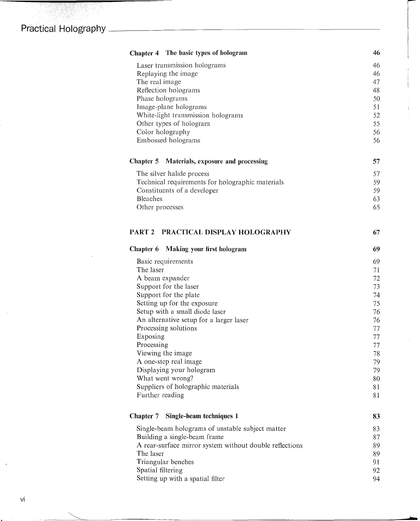83

1556.77<br>대한민국

| Chapter 4 The basic types of hologram                                            | 46       |
|----------------------------------------------------------------------------------|----------|
| Laser transmission holograms                                                     | 46       |
| Replaying the image                                                              | 46       |
| The real image                                                                   | 47       |
| Reflection holograms                                                             | 48       |
| Phase holograms                                                                  | 50       |
| Image-plane holograms                                                            | 51       |
| White-light transmission holograms                                               | 52       |
| Other types of hologram                                                          | 55       |
| Color holography<br>Embossed holograms                                           | 56<br>56 |
|                                                                                  |          |
| <b>Chapter 5</b><br>Materials, exposure and processing                           | 57       |
| The silver halide process                                                        | 57       |
| Technical requirements for holographic materials                                 | 59       |
| Constituents of a developer                                                      | 59       |
| <b>Bleaches</b>                                                                  | 63       |
| Other processes                                                                  | 65       |
| PRACTICAL DISPLAY HOLOGRAPHY<br>PART <sub>2</sub>                                | 67       |
| Chapter 6<br>Making your first hologram                                          | 69       |
| Basic requirements                                                               | 69       |
| The laser                                                                        | 71       |
| A beam expander                                                                  | 72       |
| Support for the laser                                                            | 73       |
| Support for the plate                                                            | 74       |
| Setting up for the exposure                                                      | 75       |
| Setup with a small diode laser                                                   | 76       |
| An alternative setup for a larger laser                                          | 76       |
| Processing solutions                                                             | 77       |
| Exposing                                                                         | 77       |
| Processing                                                                       | 77       |
| Viewing the image                                                                | 78       |
| A one-step real image                                                            | 79       |
| Displaying your hologram                                                         | 79       |
| What went wrong?<br>Suppliers of holographic materials                           | 80       |
| Further reading                                                                  | 81<br>81 |
| Chapter 7<br>Single-beam techniques 1                                            | 83       |
|                                                                                  |          |
| Single-beam holograms of unstable subject matter<br>Building a single-beam frame | 83<br>87 |
| A rear-surface mirror system without double reflections                          | 89       |
| The laser                                                                        | 89       |
| Triangular benches                                                               | 91       |
| Spatial filtering                                                                | 92       |
|                                                                                  |          |

~I

Ilian Carolina (1919)<br>Ilian Carolina (1919)<br>Ilian Carolina (1919)

|<br>|<br>|

.....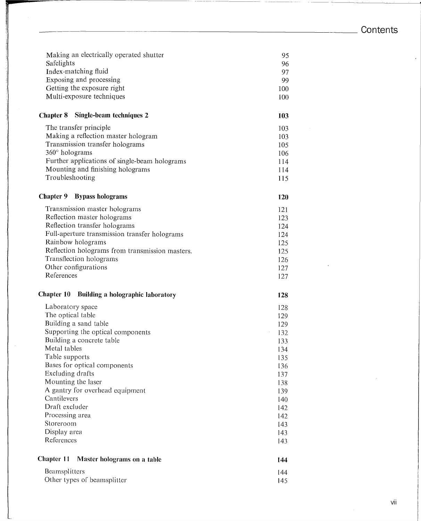### **Contents**

J.

'.\_-'"~'~-~-~~-

| Making an electrically operated shutter                | 95         |
|--------------------------------------------------------|------------|
| Safelights                                             | 96         |
| Index-matching fluid                                   | 97         |
| Exposing and processing                                | 99         |
| Getting the exposure right                             | 100        |
| Multi-exposure techniques                              | 100        |
| Single-beam techniques 2<br><b>Chapter 8</b>           | 103        |
| The transfer principle                                 | 103        |
| Making a reflection master hologram                    | 103        |
| Transmission transfer holograms                        | 105        |
| 360° holograms                                         | 106        |
| Further applications of single-beam holograms          | 114        |
| Mounting and finishing holograms                       | 114        |
| Troubleshooting                                        | 115        |
| <b>Chapter 9</b><br><b>Bypass holograms</b>            | 120        |
| Transmission master holograms                          | 121        |
| Reflection master holograms                            | 123        |
| Reflection transfer holograms                          | 124        |
| Full-aperture transmission transfer holograms          | 124        |
| Rainbow holograms                                      | 125        |
| Reflection holograms from transmission masters.        | 125        |
| Transflection holograms                                | 126        |
| Other configurations                                   | 127        |
| References                                             | 127        |
| <b>Chapter 10</b><br>Building a holographic laboratory | 128        |
| Laboratory space                                       | 128        |
| The optical table                                      | 129        |
| Building a sand table                                  | 129        |
| Supporting the optical components                      | 132        |
| Building a concrete table                              | 133        |
| Metal tables                                           | 134        |
| Table supports                                         | 135        |
| Bases for optical components                           | 136        |
| Excluding drafts                                       | 137        |
| Mounting the laser                                     | 138        |
| A gantry for overhead equipment                        | 139        |
| Cantilevers                                            | 140        |
| Draft excluder                                         | 142        |
| Processing area                                        | 142        |
| Storeroom                                              | 143        |
| Display area                                           | 143        |
| References                                             | 143        |
| <b>Chapter 11</b><br>Master holograms on a table       | 144        |
|                                                        |            |
| Beamsplitters<br>Other types of beamsplitter           | 144<br>145 |
|                                                        |            |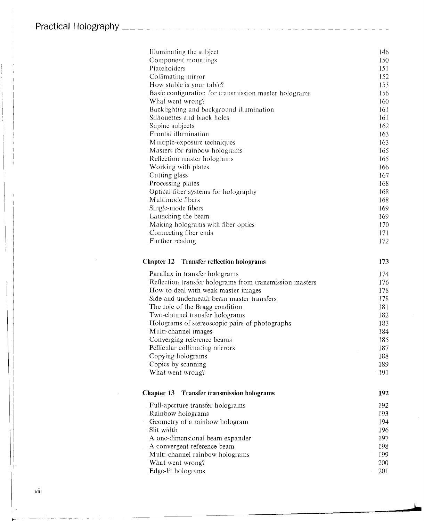### **Practical** Holography~~~~~~~~~~~~~~~~~~~~~~~

| Illuminating the subject                                                             | 146        |
|--------------------------------------------------------------------------------------|------------|
| Component mountings                                                                  | 150        |
| Plateholders                                                                         | 151        |
| Collimating mirror                                                                   | 152        |
| How stable is your table?                                                            | 153        |
| Basic configuration for transmission master holograms                                | 156        |
| What went wrong?                                                                     | 160        |
| Backlighting and background illumination                                             | 161        |
| Silhouettes and black holes                                                          | 161        |
| Supine subjects                                                                      | 162        |
| Frontal illumination                                                                 | 163        |
| Multiple-exposure techniques                                                         | 163        |
| Masters for rainbow holograms                                                        | 165        |
| Reflection master holograms                                                          | 165        |
| Working with plates                                                                  | 166        |
| Cutting glass                                                                        | 167        |
| Processing plates                                                                    | 168        |
| Optical fiber systems for holography                                                 | 168        |
| Multimode fibers                                                                     | 168        |
| Single-mode fibers                                                                   | 169        |
| Launching the beam                                                                   | 169        |
| Making holograms with fiber optics                                                   | 170        |
| Connecting fiber ends                                                                | 171        |
| Further reading                                                                      | 172        |
| Chapter 12<br><b>Transfer reflection holograms</b><br>Parallax in transfer holograms | 173<br>174 |
| Reflection transfer holograms from transmission masters                              | 176        |
| How to deal with weak master images                                                  | 178        |
| Side and underneath beam master transfers                                            | 178        |
| The role of the Bragg condition                                                      | 181        |
| Two-channel transfer holograms                                                       | 182        |
| Holograms of stereoscopic pairs of photographs                                       | 183        |
| Multi-channel images                                                                 | 184        |
| Converging reference beams                                                           | 185        |
| Pellicular collimating mirrors                                                       | 187        |
| Copying holograms                                                                    | 188        |
| Copies by scanning                                                                   | 189        |
| What went wrong?                                                                     | 191        |
| <b>Transfer transmission holograms</b><br><b>Chapter 13</b>                          | 192        |
|                                                                                      |            |
| Full-aperture transfer holograms                                                     | 192        |
| Rainbow holograms                                                                    | 193        |
| Geometry of a rainbow hologram                                                       | 194        |
| Slit width                                                                           | 196        |
| A one-dimensional beam expander                                                      | 197        |
| A convergent reference beam                                                          | 198        |
| Multi-channel rainbow holograms                                                      | 199        |
| What went wrong?                                                                     | 200        |
| Edge-lit holograms                                                                   | 201        |
|                                                                                      |            |

viii

i'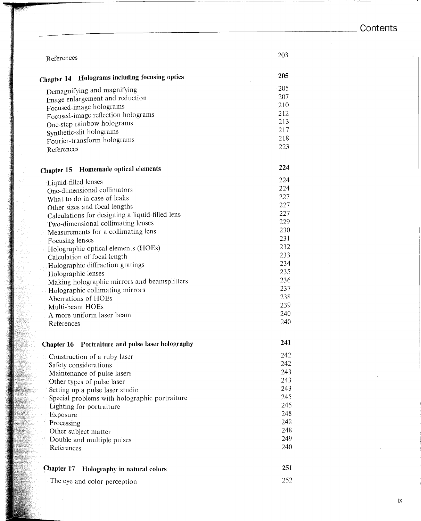Contents

 $\ddot{\phantom{a}}$ 

| References                                                                                                                                                                                                                                                                                                                                                                                                                                                                                                                                                                     | 203                                                                                                                        |
|--------------------------------------------------------------------------------------------------------------------------------------------------------------------------------------------------------------------------------------------------------------------------------------------------------------------------------------------------------------------------------------------------------------------------------------------------------------------------------------------------------------------------------------------------------------------------------|----------------------------------------------------------------------------------------------------------------------------|
| Holograms including focusing optics<br>Chapter 14                                                                                                                                                                                                                                                                                                                                                                                                                                                                                                                              | 205                                                                                                                        |
| Demagnifying and magnifying<br>Image enlargement and reduction<br>Focused-image holograms<br>Focused-image reflection holograms<br>One-step rainbow holograms<br>Synthetic-slit holograms<br>Fourier-transform holograms<br>References                                                                                                                                                                                                                                                                                                                                         | 205<br>207<br>210<br>212<br>213<br>217<br>218<br>223                                                                       |
| Chapter 15 Homemade optical elements                                                                                                                                                                                                                                                                                                                                                                                                                                                                                                                                           | 224                                                                                                                        |
| Liquid-filled lenses<br>One-dimensional collimators<br>What to do in case of leaks<br>Other sizes and focal lengths<br>Calculations for designing a liquid-filled lens<br>Two-dimensional collimating lenses<br>Measurements for a collimating lens<br>Focusing lenses<br>Holographic optical elements (HOEs)<br>Calculation of focal length<br>Holographic diffraction gratings<br>Holographic lenses<br>Making holographic mirrors and beamsplitters<br>Holographic collimating mirrors<br>Aberrations of HOEs<br>Multi-beam HOEs<br>A more uniform laser beam<br>References | 224<br>224<br>227<br>227<br>227<br>229<br>230<br>231<br>232<br>233<br>234<br>235<br>236<br>237<br>238<br>239<br>240<br>240 |
| <b>Chapter 16</b> Portraiture and pulse laser holography                                                                                                                                                                                                                                                                                                                                                                                                                                                                                                                       | 241                                                                                                                        |
| Construction of a ruby laser<br>Safety considerations<br>Maintenance of pulse lasers<br>Other types of pulse laser<br>Setting up a pulse laser studio<br>Special problems with holographic portraiture<br>Lighting for portraiture<br>Exposure<br>Processing<br>Other subject matter<br>Double and multiple pulses<br>References                                                                                                                                                                                                                                               | 242<br>242<br>243<br>243<br>243<br>245<br>245<br>248<br>248<br>248<br>249<br>240                                           |
| Chapter 17<br>Holography in natural colors                                                                                                                                                                                                                                                                                                                                                                                                                                                                                                                                     | 251                                                                                                                        |
| The eye and color perception                                                                                                                                                                                                                                                                                                                                                                                                                                                                                                                                                   | 252                                                                                                                        |

 $i\mathsf{x}$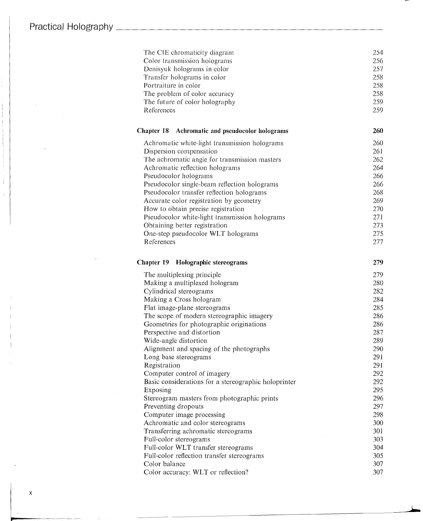| The CIE chromaticity diagram                              | 254 |
|-----------------------------------------------------------|-----|
| Color transmission holograms                              | 256 |
| Denisyuk holograms in color                               | 257 |
| Transfer holograms in color                               | 258 |
| Portraiture in color                                      | 258 |
| The problem of color accuracy                             | 258 |
| The future of color holography                            | 259 |
| References                                                | 259 |
| <b>Chapter 18</b><br>Achromatic and pseudocolor holograms | 260 |
| Achromatic white-light transmission holograms             | 260 |
| Dispersion compensation                                   | 261 |
| The achromatic angle for transmission masters             | 262 |
| Achromatic reflection holograms                           | 264 |
| Pseudocolor holograms                                     | 266 |
| Pseudocolor single-beam reflection holograms              | 266 |
| Pseudocolor transfer reflection holograms                 | 268 |
| Accurate color registration by geometry                   | 269 |
| How to obtain precise registration                        | 270 |
| Pseudocolor white-light transmission holograms            | 271 |
| Obtaining better registration                             | 273 |
| One-step pseudocolor WLT holograms                        | 275 |
| References                                                | 277 |
| <b>Chapter 19</b><br>Holographic stereograms              | 279 |
| The multiplexing principle                                | 279 |
| Making a multiplexed hologram                             | 280 |
| Cylindrical stereograms                                   | 282 |
| Making a Cross hologram                                   | 284 |
| Flat image-plane stereograms                              | 285 |
| The scope of modern stereographic imagery                 | 286 |
| Geometries for photographic originations                  | 286 |
| Perspective and distortion                                | 287 |
| Wide-angle distortion                                     | 289 |
| Alignment and spacing of the photographs                  | 290 |
| Long base stereograms                                     | 291 |
| Registration                                              | 291 |
| Computer control of imagery                               | 292 |
| Basic considerations for a stereographic holoprinter      | 292 |
| Exposing                                                  | 295 |
| Stereogram masters from photographic prints               | 296 |
| Preventing dropouts                                       | 297 |
| Computer image processing                                 | 298 |
| Achromatic and color stereograms                          | 300 |
| Transferring achromatic stereograms                       | 301 |
| Full-color stereograms                                    | 303 |
| Full-color WLT transfer stereograms                       | 304 |
| Full-color reflection transfer stereograms                | 305 |
| Color balance                                             | 307 |
| Color accuracy: WLT or reflection?                        | 307 |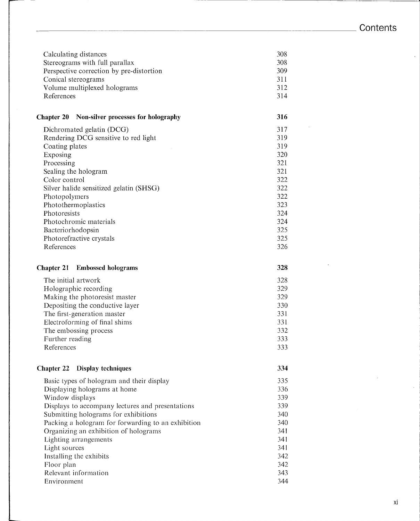| Calculating distances                    | 308 |
|------------------------------------------|-----|
| Stereograms with full parallax           | 308 |
| Perspective correction by pre-distortion | 309 |
| Conical stereograms                      | 311 |
| Volume multiplexed holograms             | 312 |
| References                               | 314 |

#### **Chapter 20 Non-silver processes for holography**

| Dichromated gelatin (DCG)               | 317 |
|-----------------------------------------|-----|
| Rendering DCG sensitive to red light    | 319 |
| Coating plates                          | 319 |
| Exposing                                | 320 |
| Processing                              | 321 |
| Sealing the hologram                    | 321 |
| Color control                           | 322 |
| Silver halide sensitized gelatin (SHSG) | 322 |
| Photopolymers                           | 322 |
| Photothermoplastics                     | 323 |
| Photoresists                            | 324 |
| Photochromic materials                  | 324 |
| Bacteriorhodopsin                       | 325 |
| Photorefractive crystals                | 325 |
| References                              | 326 |

#### **Chapter 21 Embossed holograms**

**328**

**316**

The initial artwork Holographic recording Making the photoresist master Depositing the conductive layer The first-generation master Electroforming of final shims The embossing process Further reading References 328 329 329 330 331 331 332 333 333

#### **Chapter 22 Display techniques**

**334**

| Basic types of hologram and their display          | 335 |
|----------------------------------------------------|-----|
| Displaying holograms at home                       | 336 |
| Window displays                                    | 339 |
| Displays to accompany lectures and presentations   | 339 |
| Submitting holograms for exhibitions               | 340 |
| Packing a hologram for forwarding to an exhibition | 340 |
| Organizing an exhibition of holograms              | 341 |
| Lighting arrangements                              | 341 |
| Light sources                                      | 341 |
| Installing the exhibits                            | 342 |
| Floor plan                                         | 342 |
| Relevant information                               | 343 |
| Environment                                        | 344 |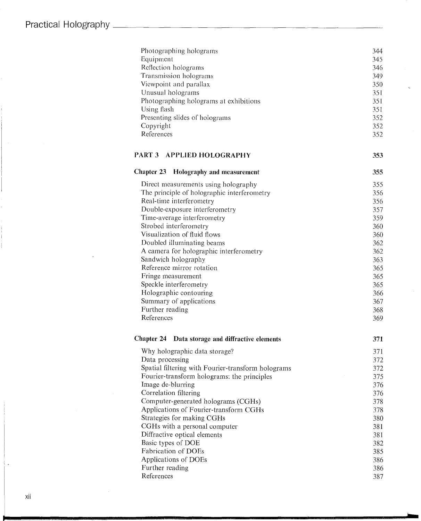| Photographing holograms                            | 344 |
|----------------------------------------------------|-----|
| Equipment                                          | 345 |
| Reflection holograms                               | 346 |
| Transmission holograms                             | 349 |
| Viewpoint and parallax                             | 350 |
| Unusual holograms                                  | 351 |
| Photographing holograms at exhibitions             | 351 |
| Using flash                                        | 351 |
| Presenting slides of holograms                     | 352 |
| Copyright                                          | 352 |
| References                                         | 352 |
| PART 3 APPLIED HOLOGRAPHY                          | 353 |
| <b>Chapter 23</b><br>Holography and measurement    | 355 |
| Direct measurements using holography               | 355 |
| The principle of holographic interferometry        | 356 |
| Real-time interferometry                           | 356 |
| Double-exposure interferometry                     | 357 |
| Time-average interferometry                        | 359 |
| Strobed interferometry                             | 360 |
| Visualization of fluid flows                       | 360 |
| Doubled illuminating beams                         | 362 |
| A camera for holographic interferometry            | 362 |
| Sandwich holography                                | 363 |
| Reference mirror rotation                          | 365 |
| Fringe measurement                                 | 365 |
| Speckle interferometry                             | 365 |
| Holographic contouring                             | 366 |
| Summary of applications                            | 367 |
| Further reading                                    | 368 |
| References                                         | 369 |
| Chapter 24 Data storage and diffractive elements   | 371 |
| Why holographic data storage?                      | 371 |
| Data processing                                    | 372 |
| Spatial filtering with Fourier-transform holograms | 372 |
| Fourier-transform holograms: the principles        | 375 |
| Image de-blurring                                  | 376 |
| Correlation filtering                              | 376 |
| Computer-generated holograms (CGHs)                | 378 |
| Applications of Fourier-transform CGHs             | 378 |
| Strategies for making CGHs                         | 380 |
| CGHs with a personal computer                      | 381 |
| Diffractive optical elements                       | 381 |
| Basic types of DOE                                 | 382 |
| Fabrication of DOEs                                | 385 |
| Applications of DOEs                               | 386 |
| Further reading                                    | 386 |
| References                                         | 387 |

..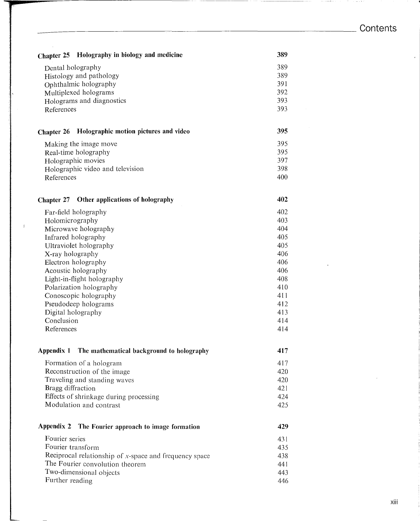**395**

**402**

**417**

**429**

**Chapter 25 Holography in biology and medicine 389**  $389$ 

| Dental holography         | 389. |
|---------------------------|------|
| Histology and pathology   | 389. |
| Ophthalmic holography     | 391  |
| Multiplexed holograms     | 392. |
| Holograms and diagnostics | 393. |
| References                | 393. |

#### **Chapter 26 Holographic motion pictures and video**

Making the image move Real-time holography Holographic movies Holographic video and television References 395 395 397 398 400

#### **Chapter 27 Other applications of holography**

Far-field holography Holomicrography Microwave holography Infrared holography Ultraviolet holography X-ray holography Electron holography Acoustic holography Light-in-flight holography Polarization holography Conoscopic holography Pseudodeep holograms Digital holography Conclusion References 402 403 404 405 405 406 406 406 408 410 411 412 413 414 414

#### **Appendix 1 The mathematical background to holography**

| Formation of a hologram                | 417  |
|----------------------------------------|------|
| Reconstruction of the image            | 420  |
| Traveling and standing waves           | 420  |
| Bragg diffraction                      | 42.1 |
| Effects of shrinkage during processing | 424  |
| Modulation and contrast                | 425. |

#### **Appendix 2 The** Fourier **approach to image formation**

| Fourier series                                            | 431 |
|-----------------------------------------------------------|-----|
| Fourier transform                                         | 435 |
| Reciprocal relationship of $x$ -space and frequency space | 438 |
| The Fourier convolution theorem                           | 441 |
| Two-dimensional objects                                   | 443 |
| Further reading                                           | 446 |